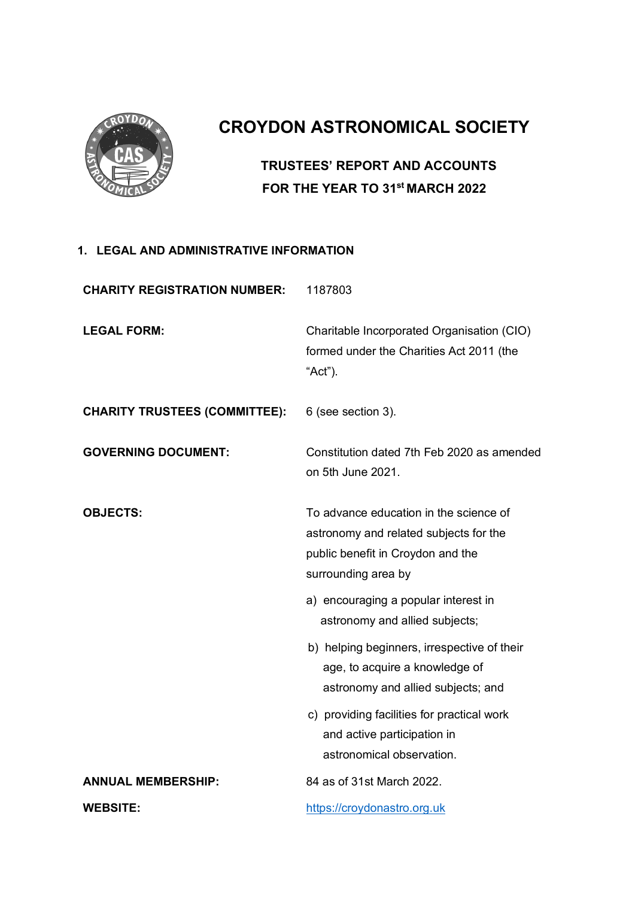

# **CROYDON ASTRONOMICAL SOCIETY**

## **TRUSTEES' REPORT AND ACCOUNTS FOR THE YEAR TO 31st MARCH 2022**

#### **1. LEGAL AND ADMINISTRATIVE INFORMATION**

| <b>CHARITY REGISTRATION NUMBER:</b>  | 1187803                                                                                                                                      |
|--------------------------------------|----------------------------------------------------------------------------------------------------------------------------------------------|
| <b>LEGAL FORM:</b>                   | Charitable Incorporated Organisation (CIO)<br>formed under the Charities Act 2011 (the<br>"Act").                                            |
| <b>CHARITY TRUSTEES (COMMITTEE):</b> | 6 (see section 3).                                                                                                                           |
| <b>GOVERNING DOCUMENT:</b>           | Constitution dated 7th Feb 2020 as amended<br>on 5th June 2021.                                                                              |
| <b>OBJECTS:</b>                      | To advance education in the science of<br>astronomy and related subjects for the<br>public benefit in Croydon and the<br>surrounding area by |
|                                      | a) encouraging a popular interest in<br>astronomy and allied subjects;                                                                       |
|                                      | b) helping beginners, irrespective of their<br>age, to acquire a knowledge of<br>astronomy and allied subjects; and                          |
|                                      | c) providing facilities for practical work<br>and active participation in<br>astronomical observation.                                       |
| <b>ANNUAL MEMBERSHIP:</b>            | 84 as of 31st March 2022.                                                                                                                    |
| <b>WEBSITE:</b>                      | https://croydonastro.org.uk                                                                                                                  |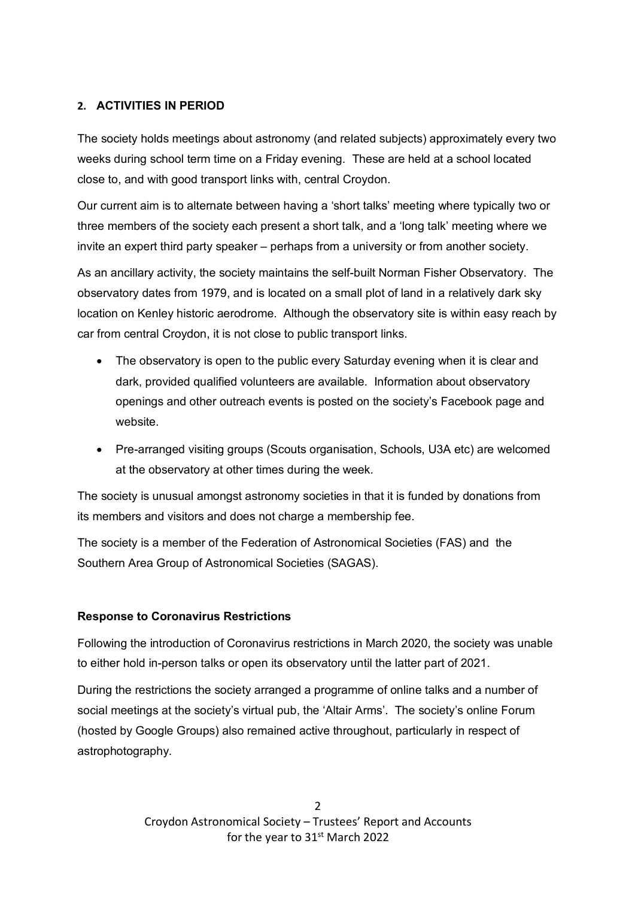#### **2. ACTIVITIES IN PERIOD**

The society holds meetings about astronomy (and related subjects) approximately every two weeks during school term time on a Friday evening. These are held at a school located close to, and with good transport links with, central Croydon.

Our current aim is to alternate between having a 'short talks' meeting where typically two or three members of the society each present a short talk, and a 'long talk' meeting where we invite an expert third party speaker – perhaps from a university or from another society.

As an ancillary activity, the society maintains the self-built Norman Fisher Observatory. The observatory dates from 1979, and is located on a small plot of land in a relatively dark sky location on Kenley historic aerodrome. Although the observatory site is within easy reach by car from central Croydon, it is not close to public transport links.

- The observatory is open to the public every Saturday evening when it is clear and dark, provided qualified volunteers are available. Information about observatory openings and other outreach events is posted on the society's Facebook page and website.
- Pre-arranged visiting groups (Scouts organisation, Schools, U3A etc) are welcomed at the observatory at other times during the week.

The society is unusual amongst astronomy societies in that it is funded by donations from its members and visitors and does not charge a membership fee.

The society is a member of the Federation of Astronomical Societies (FAS) and the Southern Area Group of Astronomical Societies (SAGAS).

#### **Response to Coronavirus Restrictions**

Following the introduction of Coronavirus restrictions in March 2020, the society was unable to either hold in-person talks or open its observatory until the latter part of 2021.

During the restrictions the society arranged a programme of online talks and a number of social meetings at the society's virtual pub, the 'Altair Arms'. The society's online Forum (hosted by Google Groups) also remained active throughout, particularly in respect of astrophotography.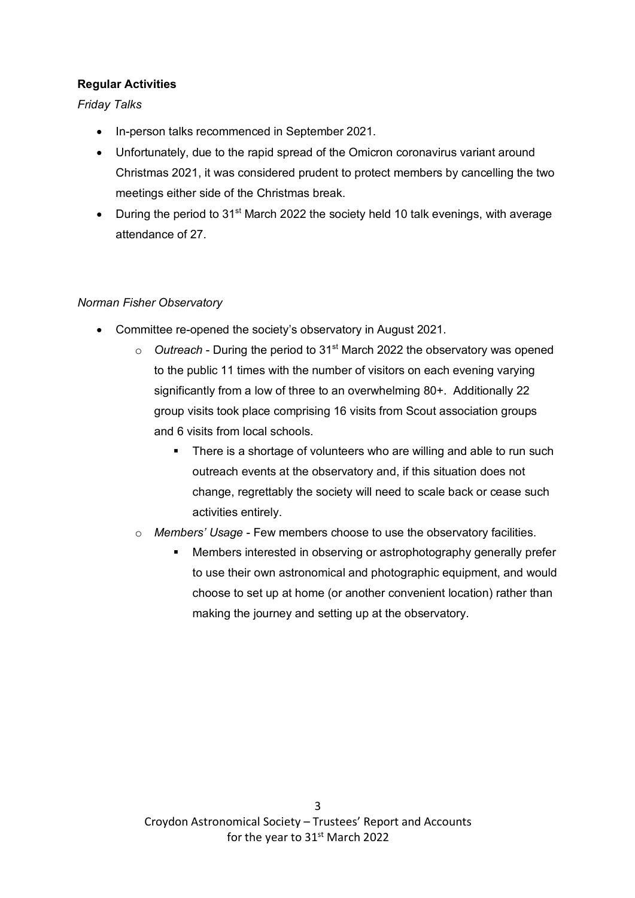#### **Regular Activities**

*Friday Talks*

- In-person talks recommenced in September 2021.
- Unfortunately, due to the rapid spread of the Omicron coronavirus variant around Christmas 2021, it was considered prudent to protect members by cancelling the two meetings either side of the Christmas break.
- During the period to 31<sup>st</sup> March 2022 the society held 10 talk evenings, with average attendance of 27.

#### *Norman Fisher Observatory*

- Committee re-opened the society's observatory in August 2021.
	- o *Outreach* During the period to 31st March 2022 the observatory was opened to the public 11 times with the number of visitors on each evening varying significantly from a low of three to an overwhelming 80+. Additionally 22 group visits took place comprising 16 visits from Scout association groups and 6 visits from local schools.
		- There is a shortage of volunteers who are willing and able to run such outreach events at the observatory and, if this situation does not change, regrettably the society will need to scale back or cease such activities entirely.
	- o *Members' Usage* Few members choose to use the observatory facilities.
		- Members interested in observing or astrophotography generally prefer to use their own astronomical and photographic equipment, and would choose to set up at home (or another convenient location) rather than making the journey and setting up at the observatory.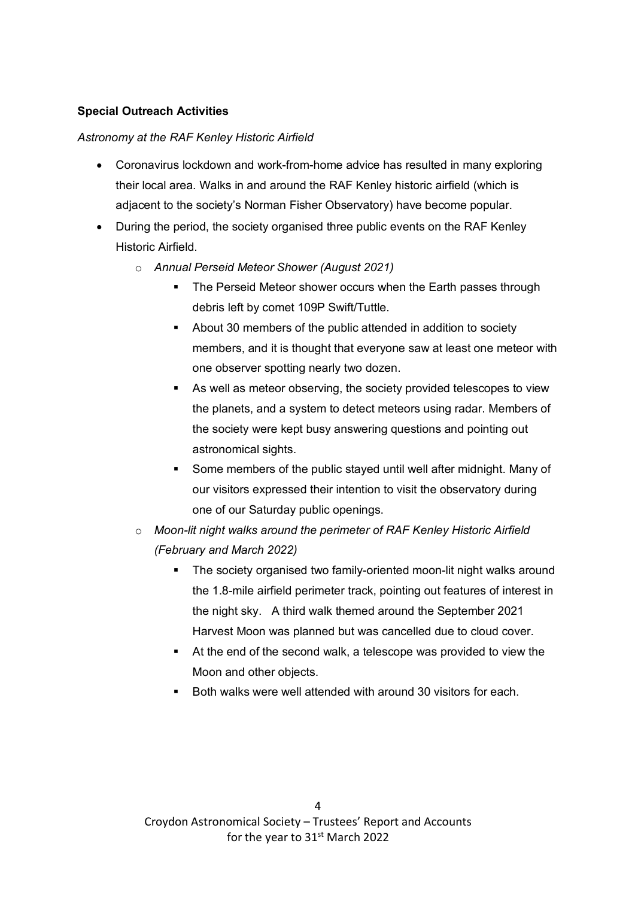#### **Special Outreach Activities**

#### *Astronomy at the RAF Kenley Historic Airfield*

- Coronavirus lockdown and work-from-home advice has resulted in many exploring their local area. Walks in and around the RAF Kenley historic airfield (which is adjacent to the society's Norman Fisher Observatory) have become popular.
- During the period, the society organised three public events on the RAF Kenley Historic Airfield.
	- o *Annual Perseid Meteor Shower (August 2021)*
		- The Perseid Meteor shower occurs when the Earth passes through debris left by comet 109P Swift/Tuttle.
		- About 30 members of the public attended in addition to society members, and it is thought that everyone saw at least one meteor with one observer spotting nearly two dozen.
		- § As well as meteor observing, the society provided telescopes to view the planets, and a system to detect meteors using radar. Members of the society were kept busy answering questions and pointing out astronomical sights.
		- § Some members of the public stayed until well after midnight. Many of our visitors expressed their intention to visit the observatory during one of our Saturday public openings.
	- o *Moon-lit night walks around the perimeter of RAF Kenley Historic Airfield (February and March 2022)*
		- The society organised two family-oriented moon-lit night walks around the 1.8-mile airfield perimeter track, pointing out features of interest in the night sky. A third walk themed around the September 2021 Harvest Moon was planned but was cancelled due to cloud cover.
		- At the end of the second walk, a telescope was provided to view the Moon and other objects.
		- § Both walks were well attended with around 30 visitors for each.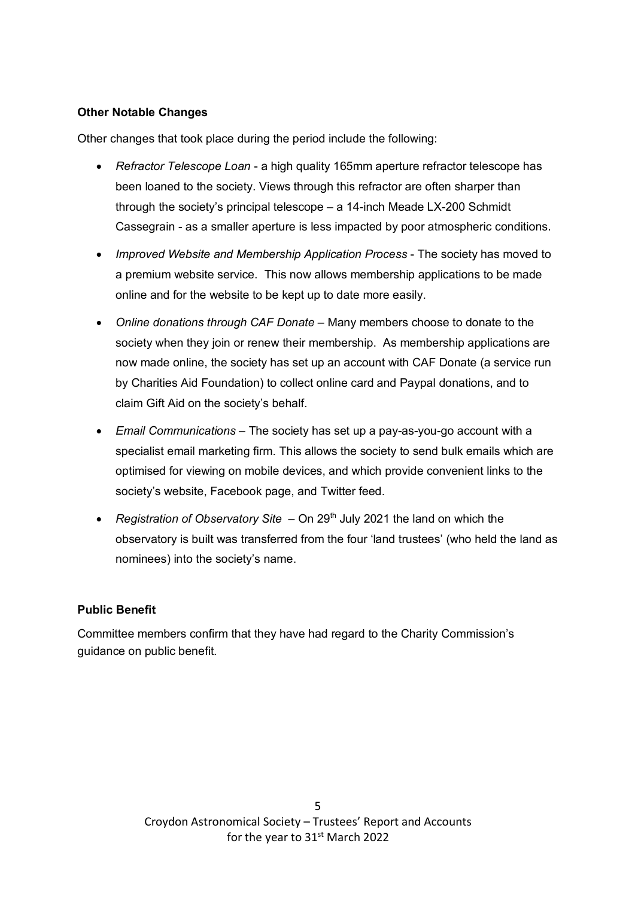#### **Other Notable Changes**

Other changes that took place during the period include the following:

- *Refractor Telescope Loan* a high quality 165mm aperture refractor telescope has been loaned to the society. Views through this refractor are often sharper than through the society's principal telescope – a 14-inch Meade LX-200 Schmidt Cassegrain - as a smaller aperture is less impacted by poor atmospheric conditions.
- *Improved Website and Membership Application Process* The society has moved to a premium website service. This now allows membership applications to be made online and for the website to be kept up to date more easily.
- *Online donations through CAF Donate* Many members choose to donate to the society when they join or renew their membership. As membership applications are now made online, the society has set up an account with CAF Donate (a service run by Charities Aid Foundation) to collect online card and Paypal donations, and to claim Gift Aid on the society's behalf.
- *Email Communications* The society has set up a pay-as-you-go account with a specialist email marketing firm. This allows the society to send bulk emails which are optimised for viewing on mobile devices, and which provide convenient links to the society's website, Facebook page, and Twitter feed.
- *Registration of Observatory Site* On 29<sup>th</sup> July 2021 the land on which the observatory is built was transferred from the four 'land trustees' (who held the land as nominees) into the society's name.

#### **Public Benefit**

Committee members confirm that they have had regard to the Charity Commission's guidance on public benefit.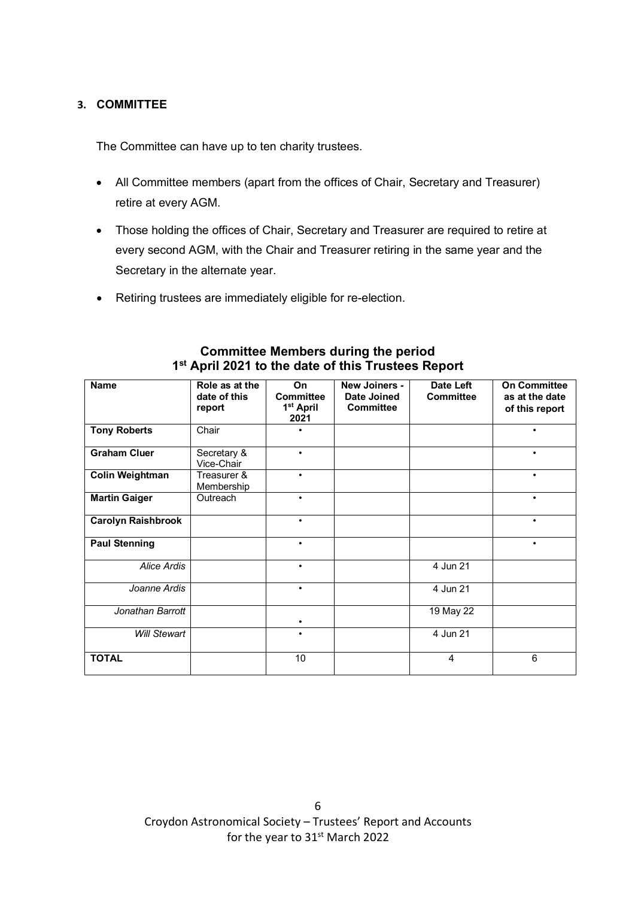#### **3. COMMITTEE**

The Committee can have up to ten charity trustees.

- All Committee members (apart from the offices of Chair, Secretary and Treasurer) retire at every AGM.
- Those holding the offices of Chair, Secretary and Treasurer are required to retire at every second AGM, with the Chair and Treasurer retiring in the same year and the Secretary in the alternate year.
- Retiring trustees are immediately eligible for re-election.

| <b>Name</b>               | Role as at the<br>date of this<br>report | On<br><b>Committee</b><br>1 <sup>st</sup> April<br>2021 | New Joiners -<br><b>Date Joined</b><br><b>Committee</b> | Date Left<br><b>Committee</b> | <b>On Committee</b><br>as at the date<br>of this report |
|---------------------------|------------------------------------------|---------------------------------------------------------|---------------------------------------------------------|-------------------------------|---------------------------------------------------------|
| <b>Tony Roberts</b>       | Chair                                    |                                                         |                                                         |                               | ٠                                                       |
| <b>Graham Cluer</b>       | Secretary &<br>Vice-Chair                | $\bullet$                                               |                                                         |                               | $\bullet$                                               |
| <b>Colin Weightman</b>    | Treasurer &<br>Membership                | $\bullet$                                               |                                                         |                               | $\bullet$                                               |
| <b>Martin Gaiger</b>      | Outreach                                 | $\bullet$                                               |                                                         |                               | $\bullet$                                               |
| <b>Carolyn Raishbrook</b> |                                          | ٠                                                       |                                                         |                               | $\bullet$                                               |
| <b>Paul Stenning</b>      |                                          | $\bullet$                                               |                                                         |                               | $\bullet$                                               |
| Alice Ardis               |                                          | $\bullet$                                               |                                                         | 4 Jun 21                      |                                                         |
| Joanne Ardis              |                                          | $\bullet$                                               |                                                         | 4 Jun 21                      |                                                         |
| Jonathan Barrott          |                                          | ٠                                                       |                                                         | 19 May 22                     |                                                         |
| <b>Will Stewart</b>       |                                          | ٠                                                       |                                                         | 4 Jun 21                      |                                                         |
| <b>TOTAL</b>              |                                          | 10                                                      |                                                         | 4                             | 6                                                       |

#### **Committee Members during the period 1st April 2021 to the date of this Trustees Report**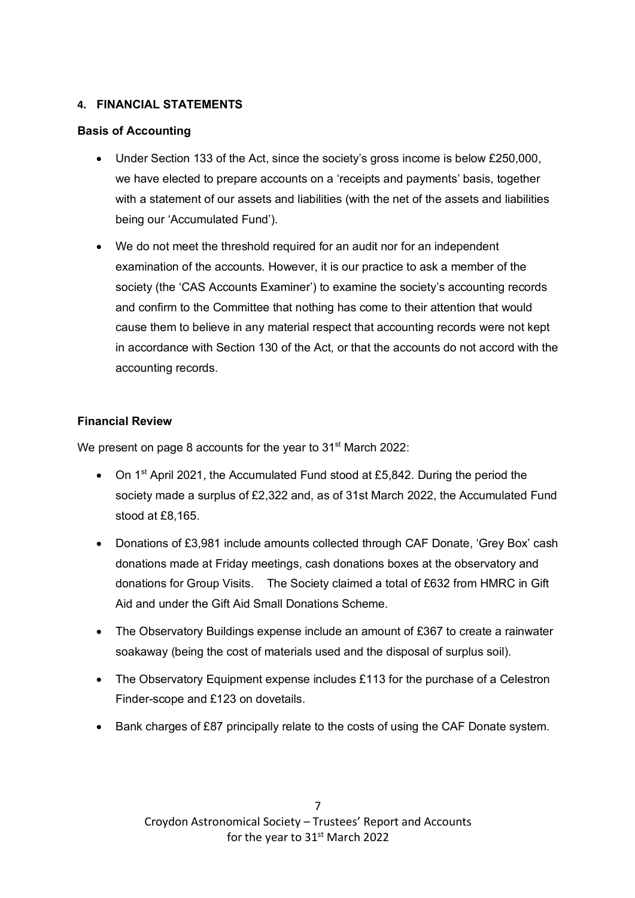#### **4. FINANCIAL STATEMENTS**

#### **Basis of Accounting**

- Under Section 133 of the Act, since the society's gross income is below £250,000, we have elected to prepare accounts on a 'receipts and payments' basis, together with a statement of our assets and liabilities (with the net of the assets and liabilities being our 'Accumulated Fund').
- We do not meet the threshold required for an audit nor for an independent examination of the accounts. However, it is our practice to ask a member of the society (the 'CAS Accounts Examiner') to examine the society's accounting records and confirm to the Committee that nothing has come to their attention that would cause them to believe in any material respect that accounting records were not kept in accordance with Section 130 of the Act, or that the accounts do not accord with the accounting records.

#### **Financial Review**

We present on page 8 accounts for the year to 31<sup>st</sup> March 2022:

- On 1<sup>st</sup> April 2021, the Accumulated Fund stood at £5,842. During the period the society made a surplus of £2,322 and, as of 31st March 2022, the Accumulated Fund stood at £8,165.
- Donations of £3,981 include amounts collected through CAF Donate, 'Grey Box' cash donations made at Friday meetings, cash donations boxes at the observatory and donations for Group Visits. The Society claimed a total of £632 from HMRC in Gift Aid and under the Gift Aid Small Donations Scheme.
- The Observatory Buildings expense include an amount of £367 to create a rainwater soakaway (being the cost of materials used and the disposal of surplus soil).
- The Observatory Equipment expense includes £113 for the purchase of a Celestron Finder-scope and £123 on dovetails.
- Bank charges of £87 principally relate to the costs of using the CAF Donate system.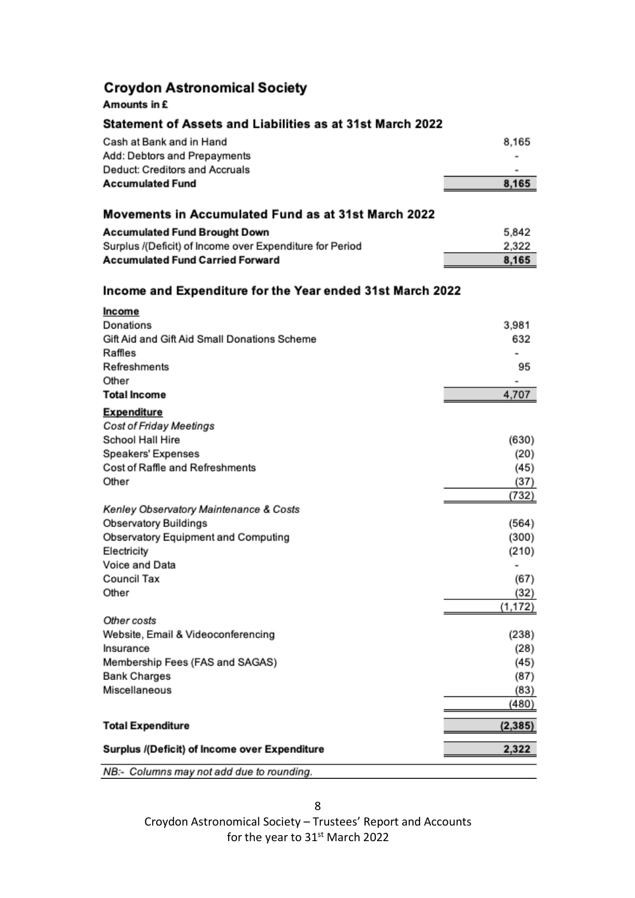### **Croydon Astronomical Society**

#### Amounts in £

#### Statement of Assets and Liabilities as at 31st March 2022

| Surplus /(Deficit) of Income over Expenditure             | 2,322    |
|-----------------------------------------------------------|----------|
| <b>Total Expenditure</b>                                  | (2, 385) |
|                                                           | (480)    |
| Miscellaneous                                             | (83)     |
| <b>Bank Charges</b>                                       | (87)     |
| Membership Fees (FAS and SAGAS)                           | (45)     |
| Insurance                                                 | (28)     |
| Website, Email & Videoconferencing                        | (238)    |
| Other costs                                               | (1, 172) |
| Other                                                     | (32)     |
| Council Tax                                               | (67)     |
| Voice and Data                                            |          |
| Electricity                                               | (210)    |
| Observatory Equipment and Computing                       | (300)    |
| Observatory Buildings                                     | (564)    |
| Kenley Observatory Maintenance & Costs                    |          |
|                                                           | (732)    |
| Other                                                     | (37)     |
| Cost of Raffle and Refreshments                           | (45)     |
| Speakers' Expenses                                        | (20)     |
| School Hall Hire                                          | (630)    |
| Cost of Friday Meetings                                   |          |
| <b>Expenditure</b>                                        |          |
| <b>Total Income</b>                                       | 4,707    |
| Other                                                     |          |
| Refreshments                                              | 95       |
| Raffles                                                   |          |
| Gift Aid and Gift Aid Small Donations Scheme              | 632      |
| Donations                                                 | 3,981    |
| Income                                                    |          |
| Income and Expenditure for the Year ended 31st March 2022 |          |
|                                                           |          |
| <b>Accumulated Fund Carried Forward</b>                   | 8,165    |
| Surplus /(Deficit) of Income over Expenditure for Period  | 2,322    |
| <b>Accumulated Fund Brought Down</b>                      | 5,842    |
| Movements in Accumulated Fund as at 31st March 2022       |          |
|                                                           |          |
| <b>Accumulated Fund</b>                                   | 8,165    |
| Deduct: Creditors and Accruals                            |          |
| Add: Debtors and Prepayments                              |          |
| Cash at Bank and in Hand                                  | 8,165    |
|                                                           |          |

NB:- Columns may not add due to rounding.

Croydon Astronomical Society – Trustees' Report and Accounts for the year to 31<sup>st</sup> March 2022